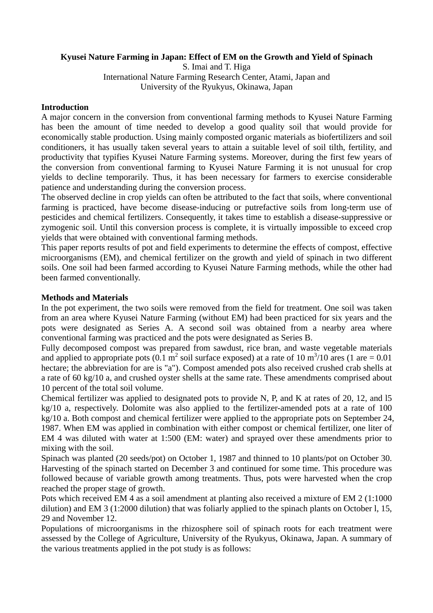## **Kyusei Nature Farming in Japan: Effect of EM on the Growth and Yield of Spinach**

S. Imai and T. Higa International Nature Farming Research Center, Atami, Japan and University of the Ryukyus, Okinawa, Japan

#### **Introduction**

A major concern in the conversion from conventional farming methods to Kyusei Nature Farming has been the amount of time needed to develop a good quality soil that would provide for economically stable production. Using mainly composted organic materials as biofertilizers and soil conditioners, it has usually taken several years to attain a suitable level of soil tilth, fertility, and productivity that typifies Kyusei Nature Farming systems. Moreover, during the first few years of the conversion from conventional farming to Kyusei Nature Farming it is not unusual for crop yields to decline temporarily. Thus, it has been necessary for farmers to exercise considerable patience and understanding during the conversion process.

The observed decline in crop yields can often be attributed to the fact that soils, where conventional farming is practiced, have become disease-inducing or putrefactive soils from long-term use of pesticides and chemical fertilizers. Consequently, it takes time to establish a disease-suppressive or zymogenic soil. Until this conversion process is complete, it is virtually impossible to exceed crop yields that were obtained with conventional farming methods.

This paper reports results of pot and field experiments to determine the effects of compost, effective microorganisms (EM), and chemical fertilizer on the growth and yield of spinach in two different soils. One soil had been farmed according to Kyusei Nature Farming methods, while the other had been farmed conventionally.

#### **Methods and Materials**

In the pot experiment, the two soils were removed from the field for treatment. One soil was taken from an area where Kyusei Nature Farming (without EM) had been practiced for six years and the pots were designated as Series A. A second soil was obtained from a nearby area where conventional farming was practiced and the pots were designated as Series B.

Fully decomposed compost was prepared from sawdust, rice bran, and waste vegetable materials and applied to appropriate pots  $(0.1 \text{ m}^2 \text{ soil surface exposed})$  at a rate of 10 m<sup>3</sup>/10 ares (1 are = 0.01) hectare; the abbreviation for are is "a"). Compost amended pots also received crushed crab shells at a rate of 60 kg/10 a, and crushed oyster shells at the same rate. These amendments comprised about 10 percent of the total soil volume.

Chemical fertilizer was applied to designated pots to provide N, P, and K at rates of 20, 12, and l5 kg/10 a, respectively. Dolomite was also applied to the fertilizer-amended pots at a rate of 100 kg/10 a. Both compost and chemical fertilizer were applied to the appropriate pots on September 24, 1987. When EM was applied in combination with either compost or chemical fertilizer, one liter of EM 4 was diluted with water at 1:500 (EM: water) and sprayed over these amendments prior to mixing with the soil.

Spinach was planted (20 seeds/pot) on October 1, 1987 and thinned to 10 plants/pot on October 30. Harvesting of the spinach started on December 3 and continued for some time. This procedure was followed because of variable growth among treatments. Thus, pots were harvested when the crop reached the proper stage of growth.

Pots which received EM 4 as a soil amendment at planting also received a mixture of EM 2 (1:1000 dilution) and EM 3 (1:2000 dilution) that was foliarly applied to the spinach plants on October l, 15, 29 and November 12.

Populations of microorganisms in the rhizosphere soil of spinach roots for each treatment were assessed by the College of Agriculture, University of the Ryukyus, Okinawa, Japan. A summary of the various treatments applied in the pot study is as follows: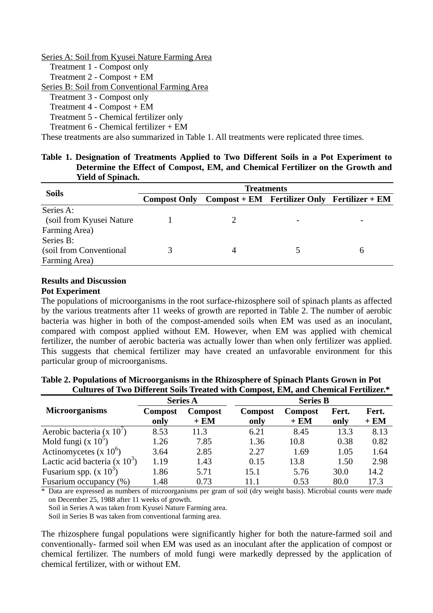| Series A: Soil from Kyusei Nature Farming Area |
|------------------------------------------------|
| Treatment 1 - Compost only                     |
| Treatment $2 -$ Compost + EM                   |
| Series B: Soil from Conventional Farming Area  |
| Treatment 3 - Compost only                     |
| Treatment $4 -$ Compost + EM                   |
| Treatment 5 - Chemical fertilizer only         |
| Treatment $6$ - Chemical fertilizer $+$ EM     |
|                                                |

These treatments are also summarized in Table 1. All treatments were replicated three times.

## **Table 1. Designation of Treatments Applied to Two Different Soils in a Pot Experiment to Determine the Effect of Compost, EM, and Chemical Fertilizer on the Growth and Yield of Spinach.**

| <b>Soils</b>              | <b>Treatments</b>   |                                                |                          |   |  |  |  |
|---------------------------|---------------------|------------------------------------------------|--------------------------|---|--|--|--|
|                           | <b>Compost Only</b> | $Compost + EM$ Fertilizer Only Fertilizer + EM |                          |   |  |  |  |
| Series A:                 |                     |                                                |                          |   |  |  |  |
| (soil from Kyusei Nature) |                     |                                                | $\overline{\phantom{a}}$ |   |  |  |  |
| Farming Area)             |                     |                                                |                          |   |  |  |  |
| Series B:                 |                     |                                                |                          |   |  |  |  |
| (soil from Conventional)  |                     | $\overline{A}$                                 |                          | h |  |  |  |
| Farming Area)             |                     |                                                |                          |   |  |  |  |

# **Results and Discussion**

## **Pot Experiment**

The populations of microorganisms in the root surface-rhizosphere soil of spinach plants as affected by the various treatments after 11 weeks of growth are reported in Table 2. The number of aerobic bacteria was higher in both of the compost-amended soils when EM was used as an inoculant, compared with compost applied without EM. However, when EM was applied with chemical fertilizer, the number of aerobic bacteria was actually lower than when only fertilizer was applied. This suggests that chemical fertilizer may have created an unfavorable environment for this particular group of microorganisms.

|                                  | <b>Series A</b> |                | <b>Series B</b> |                |       |       |  |
|----------------------------------|-----------------|----------------|-----------------|----------------|-------|-------|--|
| <b>Microorganisms</b>            | <b>Compost</b>  | <b>Compost</b> | <b>Compost</b>  | <b>Compost</b> | Fert. | Fert. |  |
|                                  | only            | $+EM$          | only            | $+EM$          | only  | $+EM$ |  |
| Aerobic bacteria (x $10'$ )      | 8.53            | 11.3           | 6.21            | 8.45           | 13.3  | 8.13  |  |
| Mold fungi (x $10^5$ )           | 1.26            | 7.85           | 1.36            | 10.8           | 0.38  | 0.82  |  |
| Actinomycetes $(x 10^6)$         | 3.64            | 2.85           | 2.27            | 1.69           | 1.05  | 1.64  |  |
| Lactic acid bacteria (x $10^3$ ) | 1.19            | 1.43           | 0.15            | 13.8           | 1.50  | 2.98  |  |
| Fusarium spp. $(x 10^3)$         | 1.86            | 5.71           | 15.1            | 5.76           | 30.0  | 14.2  |  |
| Fusarium occupancy (%)           | 1.48            | 0.73           | 11 1            | 0.53           | 80.0  | 17.3  |  |

**Table 2. Populations of Microorganisms in the Rhizosphere of Spinach Plants Grown in Pot Cultures of Two Different Soils Treated with Compost, EM, and Chemical Fertilizer.\*** 

\* Data are expressed as numbers of microorganisms per gram of soil (dry weight basis). Microbial counts were made on December 25, 1988 after 11 weeks of growth.

Soil in Series A was taken from Kyusei Nature Farming area.

Soil in Series B was taken from conventional farming area.

The rhizosphere fungal populations were significantly higher for both the nature-farmed soil and conventionally- farmed soil when EM was used as an inoculant after the application of compost or chemical fertilizer. The numbers of mold fungi were markedly depressed by the application of chemical fertilizer, with or without EM.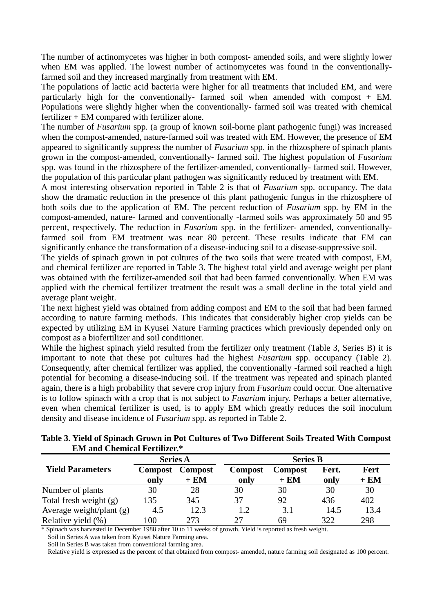The number of actinomycetes was higher in both compost- amended soils, and were slightly lower when EM was applied. The lowest number of actinomycetes was found in the conventionallyfarmed soil and they increased marginally from treatment with EM.

The populations of lactic acid bacteria were higher for all treatments that included EM, and were particularly high for the conventionally- farmed soil when amended with compost + EM. Populations were slightly higher when the conventionally- farmed soil was treated with chemical fertilizer + EM compared with fertilizer alone.

The number of *Fusarium* spp. (a group of known soil-borne plant pathogenic fungi) was increased when the compost-amended, nature-farmed soil was treated with EM. However, the presence of EM appeared to significantly suppress the number of *Fusarium* spp. in the rhizosphere of spinach plants grown in the compost-amended, conventionally- farmed soil. The highest population of *Fusarium* spp. was found in the rhizosphere of the fertilizer-amended, conventionally- farmed soil. However, the population of this particular plant pathogen was significantly reduced by treatment with EM.

A most interesting observation reported in Table 2 is that of *Fusarium* spp. occupancy. The data show the dramatic reduction in the presence of this plant pathogenic fungus in the rhizosphere of both soils due to the application of EM. The percent reduction of *Fusarium* spp. by EM in the compost-amended, nature- farmed and conventionally -farmed soils was approximately 50 and 95 percent, respectively. The reduction in *Fusarium* spp. in the fertilizer- amended, conventionallyfarmed soil from EM treatment was near 80 percent. These results indicate that EM can significantly enhance the transformation of a disease-inducing soil to a disease-suppressive soil.

The yields of spinach grown in pot cultures of the two soils that were treated with compost, EM, and chemical fertilizer are reported in Table 3. The highest total yield and average weight per plant was obtained with the fertilizer-amended soil that had been farmed conventionally. When EM was applied with the chemical fertilizer treatment the result was a small decline in the total yield and average plant weight.

The next highest yield was obtained from adding compost and EM to the soil that had been farmed according to nature farming methods. This indicates that considerably higher crop yields can be expected by utilizing EM in Kyusei Nature Farming practices which previously depended only on compost as a biofertilizer and soil conditioner.

While the highest spinach yield resulted from the fertilizer only treatment (Table 3, Series B) it is important to note that these pot cultures had the highest *Fusarium* spp. occupancy (Table 2). Consequently, after chemical fertilizer was applied, the conventionally -farmed soil reached a high potential for becoming a disease-inducing soil. If the treatment was repeated and spinach planted again, there is a high probability that severe crop injury from *Fusarium* could occur. One alternative is to follow spinach with a crop that is not subject to *Fusarium* injury. Perhaps a better alternative, even when chemical fertilizer is used, is to apply EM which greatly reduces the soil inoculum density and disease incidence of *Fusarium* spp. as reported in Table 2.

| Table 3. Yield of Spinach Grown in Pot Cultures of Two Different Soils Treated With Compost |  |  |  |
|---------------------------------------------------------------------------------------------|--|--|--|
| <b>EM</b> and Chemical Fertilizer.*                                                         |  |  |  |

|                          | <b>Series A</b>        |                         | <b>Series B</b> |                         |               |               |  |
|--------------------------|------------------------|-------------------------|-----------------|-------------------------|---------------|---------------|--|
| <b>Yield Parameters</b>  | <b>Compost</b><br>only | <b>Compost</b><br>$+EM$ | Compost<br>only | <b>Compost</b><br>$+EM$ | Fert.<br>only | Fert<br>$+EM$ |  |
| Number of plants         | 30                     | 28                      | 30              | 30                      | 30            | 30            |  |
| Total fresh weight (g)   | 135                    | 345                     | 37              | 92                      | 436           | 402           |  |
| Average weight/plant (g) | 4.5                    | 12.3                    |                 | 3.1                     | 14.5          | 13.4          |  |
| Relative yield (%)       | 100                    | 273                     | 27              | 69                      | 322           | 298           |  |

\* Spinach was harvested in December 1988 after 10 to 11 weeks of growth. Yield is reported as fresh weight.

Soil in Series A was taken from Kyusei Nature Farming area.

Soil in Series B was taken from conventional farming area.

Relative yield is expressed as the percent of that obtained from compost- amended, nature farming soil designated as 100 percent.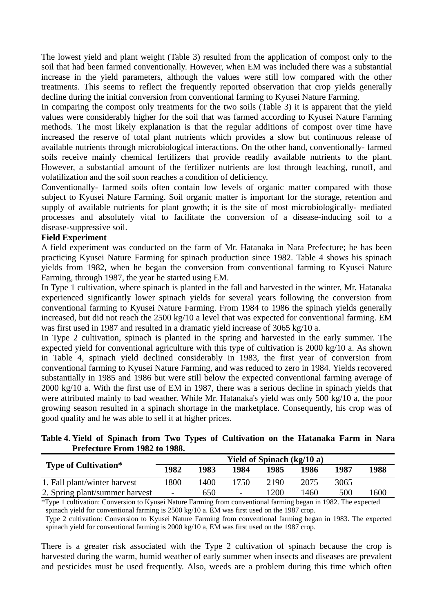The lowest yield and plant weight (Table 3) resulted from the application of compost only to the soil that had been farmed conventionally. However, when EM was included there was a substantial increase in the yield parameters, although the values were still low compared with the other treatments. This seems to reflect the frequently reported observation that crop yields generally decline during the initial conversion from conventional farming to Kyusei Nature Farming.

In comparing the compost only treatments for the two soils (Table 3) it is apparent that the yield values were considerably higher for the soil that was farmed according to Kyusei Nature Farming methods. The most likely explanation is that the regular additions of compost over time have increased the reserve of total plant nutrients which provides a slow but continuous release of available nutrients through microbiological interactions. On the other hand, conventionally- farmed soils receive mainly chemical fertilizers that provide readily available nutrients to the plant. However, a substantial amount of the fertilizer nutrients are lost through leaching, runoff, and volatilization and the soil soon reaches a condition of deficiency.

Conventionally- farmed soils often contain low levels of organic matter compared with those subject to Kyusei Nature Farming. Soil organic matter is important for the storage, retention and supply of available nutrients for plant growth; it is the site of most microbiologically- mediated processes and absolutely vital to facilitate the conversion of a disease-inducing soil to a disease-suppressive soil.

## **Field Experiment**

A field experiment was conducted on the farm of Mr. Hatanaka in Nara Prefecture; he has been practicing Kyusei Nature Farming for spinach production since 1982. Table 4 shows his spinach yields from 1982, when he began the conversion from conventional farming to Kyusei Nature Farming, through 1987, the year he started using EM.

In Type 1 cultivation, where spinach is planted in the fall and harvested in the winter, Mr. Hatanaka experienced significantly lower spinach yields for several years following the conversion from conventional farming to Kyusei Nature Farming. From 1984 to 1986 the spinach yields generally increased, but did not reach the 2500 kg/10 a level that was expected for conventional farming. EM was first used in 1987 and resulted in a dramatic yield increase of 3065 kg/10 a.

In Type 2 cultivation, spinach is planted in the spring and harvested in the early summer. The expected yield for conventional agriculture with this type of cultivation is 2000 kg/10 a. As shown in Table 4, spinach yield declined considerably in 1983, the first year of conversion from conventional farming to Kyusei Nature Farming, and was reduced to zero in 1984. Yields recovered substantially in 1985 and 1986 but were still below the expected conventional farming average of 2000 kg/10 a. With the first use of EM in 1987, there was a serious decline in spinach yields that were attributed mainly to bad weather. While Mr. Hatanaka's yield was only 500 kg/10 a, the poor growing season resulted in a spinach shortage in the marketplace. Consequently, his crop was of good quality and he was able to sell it at higher prices.

**Table 4. Yield of Spinach from Two Types of Cultivation on the Hatanaka Farm in Nara Prefecture From 1982 to 1988.** 

|                                |        |      |                          | <b>Yield of Spinach (kg/10 a)</b> |       |      |      |
|--------------------------------|--------|------|--------------------------|-----------------------------------|-------|------|------|
| <b>Type of Cultivation*</b>    | 1982   | 1983 | 1984                     | 1985                              | 1986  | 1987 | 1988 |
| 1. Fall plant/winter harvest   | 800ء   | 1400 | 1750                     | 2190                              | 2075  | 3065 |      |
| 2. Spring plant/summer harvest | $\sim$ | 650  | $\overline{\phantom{a}}$ | !200                              | 1460. | 500  | 1600 |

\*Type 1 cultivation: Conversion to Kyusei Nature Farming from conventional farming began in 1982. The expected spinach yield for conventional farming is 2500 kg/10 a. EM was first used on the 1987 crop.

Type 2 cultivation: Conversion to Kyusei Nature Farming from conventional farming began in 1983. The expected spinach yield for conventional farming is 2000 kg/10 a, EM was first used on the 1987 crop.

There is a greater risk associated with the Type 2 cultivation of spinach because the crop is harvested during the warm, humid weather of early summer when insects and diseases are prevalent and pesticides must be used frequently. Also, weeds are a problem during this time which often